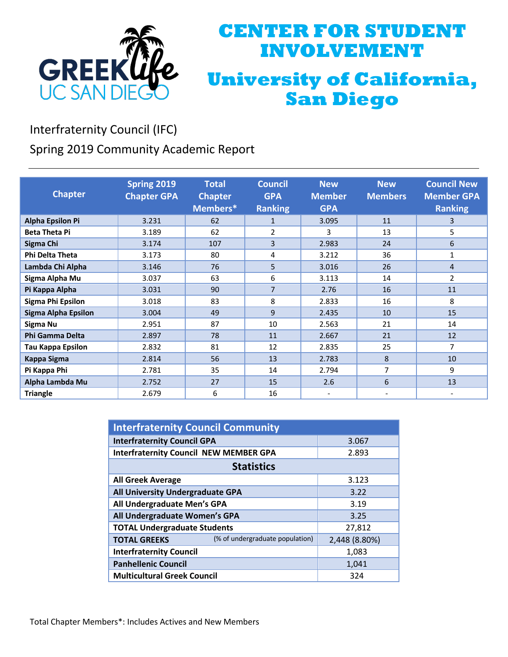

## **CENTER FOR STUDENT INVOLVEMENT University of California, San Diego**

Interfraternity Council (IFC)

Spring 2019 Community Academic Report

| <b>Chapter</b>             | Spring 2019<br><b>Chapter GPA</b> | <b>Total</b><br><b>Chapter</b><br>Members* | <b>Council</b><br><b>GPA</b><br><b>Ranking</b> | <b>New</b><br><b>Member</b><br><b>GPA</b> | <b>New</b><br><b>Members</b> | <b>Council New</b><br><b>Member GPA</b><br><b>Ranking</b> |
|----------------------------|-----------------------------------|--------------------------------------------|------------------------------------------------|-------------------------------------------|------------------------------|-----------------------------------------------------------|
| <b>Alpha Epsilon Pi</b>    | 3.231                             | 62                                         | $\mathbf{1}$                                   | 3.095                                     | 11                           | 3                                                         |
| <b>Beta Theta Pi</b>       | 3.189                             | 62                                         | $\overline{2}$                                 | 3                                         | 13                           | 5                                                         |
| Sigma Chi                  | 3.174                             | 107                                        | 3                                              | 2.983                                     | 24                           | 6                                                         |
| <b>Phi Delta Theta</b>     | 3.173                             | 80                                         | 4                                              | 3.212                                     | 36                           | 1                                                         |
| Lambda Chi Alpha           | 3.146                             | 76                                         | 5                                              | 3.016                                     | 26                           | $\overline{4}$                                            |
| Sigma Alpha Mu             | 3.037                             | 63                                         | 6                                              | 3.113                                     | 14                           | $\overline{2}$                                            |
| Pi Kappa Alpha             | 3.031                             | 90                                         | $\overline{7}$                                 | 2.76                                      | 16                           | 11                                                        |
| Sigma Phi Epsilon          | 3.018                             | 83                                         | 8                                              | 2.833                                     | 16                           | 8                                                         |
| <b>Sigma Alpha Epsilon</b> | 3.004                             | 49                                         | 9                                              | 2.435                                     | 10                           | 15                                                        |
| Sigma Nu                   | 2.951                             | 87                                         | 10                                             | 2.563                                     | 21                           | 14                                                        |
| Phi Gamma Delta            | 2.897                             | 78                                         | 11                                             | 2.667                                     | 21                           | 12                                                        |
| <b>Tau Kappa Epsilon</b>   | 2.832                             | 81                                         | 12                                             | 2.835                                     | 25                           | 7                                                         |
| Kappa Sigma                | 2.814                             | 56                                         | 13                                             | 2.783                                     | 8                            | 10                                                        |
| Pi Kappa Phi               | 2.781                             | 35                                         | 14                                             | 2.794                                     | 7                            | 9                                                         |
| Alpha Lambda Mu            | 2.752                             | 27                                         | 15                                             | 2.6                                       | 6                            | 13                                                        |
| <b>Triangle</b>            | 2.679                             | 6                                          | 16                                             | $\overline{\phantom{0}}$                  |                              |                                                           |

| <b>Interfraternity Council Community</b>               |               |  |  |  |
|--------------------------------------------------------|---------------|--|--|--|
| <b>Interfraternity Council GPA</b>                     | 3.067         |  |  |  |
| <b>Interfraternity Council NEW MEMBER GPA</b>          | 2.893         |  |  |  |
| <b>Statistics</b>                                      |               |  |  |  |
| <b>All Greek Average</b>                               | 3.123         |  |  |  |
| All University Undergraduate GPA                       | 3.22          |  |  |  |
| All Undergraduate Men's GPA                            | 3.19          |  |  |  |
| All Undergraduate Women's GPA                          | 3.25          |  |  |  |
| <b>TOTAL Undergraduate Students</b>                    | 27,812        |  |  |  |
| (% of undergraduate population)<br><b>TOTAL GREEKS</b> | 2,448 (8.80%) |  |  |  |
| <b>Interfraternity Council</b>                         | 1,083         |  |  |  |
| <b>Panhellenic Council</b>                             | 1,041         |  |  |  |
| <b>Multicultural Greek Council</b>                     | 324           |  |  |  |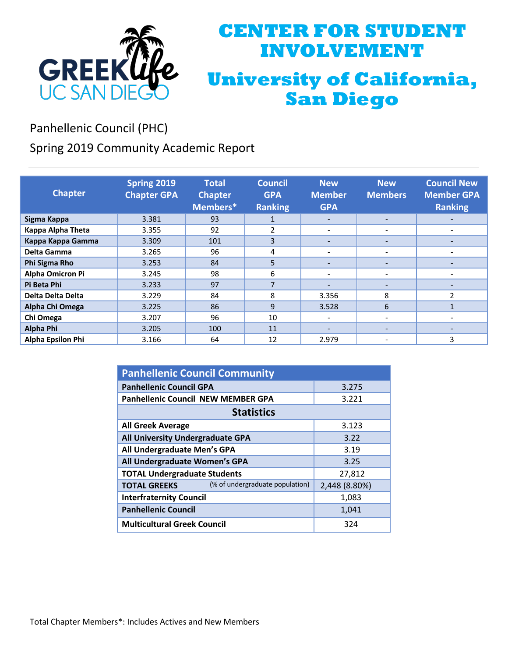

## **CENTER FOR STUDENT INVOLVEMENT University of California, San Diego**

Panhellenic Council (PHC)

Spring 2019 Community Academic Report

| <b>Chapter</b>           | Spring 2019<br><b>Chapter GPA</b> | <b>Total</b><br><b>Chapter</b><br>Members* | <b>Council</b><br><b>GPA</b><br><b>Ranking</b> | <b>New</b><br><b>Member</b><br><b>GPA</b> | <b>New</b><br><b>Members</b> | <b>Council New</b><br><b>Member GPA</b><br><b>Ranking</b> |
|--------------------------|-----------------------------------|--------------------------------------------|------------------------------------------------|-------------------------------------------|------------------------------|-----------------------------------------------------------|
| Sigma Kappa              | 3.381                             | 93                                         | $\mathbf{1}$                                   | $\overline{\phantom{a}}$                  |                              |                                                           |
| Kappa Alpha Theta        | 3.355                             | 92                                         | 2                                              | $\overline{\phantom{a}}$                  |                              |                                                           |
| Kappa Kappa Gamma        | 3.309                             | 101                                        | 3                                              | $\overline{\phantom{a}}$                  |                              |                                                           |
| Delta Gamma              | 3.265                             | 96                                         | 4                                              | $\overline{\phantom{0}}$                  | $\overline{\phantom{a}}$     |                                                           |
| Phi Sigma Rho            | 3.253                             | 84                                         | 5                                              | $\overline{\phantom{0}}$                  |                              |                                                           |
| Alpha Omicron Pi         | 3.245                             | 98                                         | 6                                              | $\overline{\phantom{0}}$                  |                              |                                                           |
| Pi Beta Phi              | 3.233                             | 97                                         | 7                                              | $\overline{\phantom{a}}$                  |                              |                                                           |
| Delta Delta Delta        | 3.229                             | 84                                         | 8                                              | 3.356                                     | 8                            | $\mathfrak{p}$                                            |
| Alpha Chi Omega          | 3.225                             | 86                                         | 9                                              | 3.528                                     | 6                            |                                                           |
| Chi Omega                | 3.207                             | 96                                         | 10                                             |                                           | $\overline{\phantom{a}}$     |                                                           |
| Alpha Phi                | 3.205                             | 100                                        | 11                                             | $\overline{\phantom{a}}$                  | $\overline{\phantom{a}}$     |                                                           |
| <b>Alpha Epsilon Phi</b> | 3.166                             | 64                                         | 12                                             | 2.979                                     |                              | 3                                                         |

| <b>Panhellenic Council Community</b>                   |        |               |  |  |
|--------------------------------------------------------|--------|---------------|--|--|
| <b>Panhellenic Council GPA</b>                         | 3.275  |               |  |  |
| <b>Panhellenic Council NEW MEMBER GPA</b>              | 3.221  |               |  |  |
| <b>Statistics</b>                                      |        |               |  |  |
| <b>All Greek Average</b>                               | 3.123  |               |  |  |
| All University Undergraduate GPA                       | 3.22   |               |  |  |
| All Undergraduate Men's GPA                            | 3.19   |               |  |  |
| All Undergraduate Women's GPA                          | 3.25   |               |  |  |
| <b>TOTAL Undergraduate Students</b>                    | 27,812 |               |  |  |
| (% of undergraduate population)<br><b>TOTAL GREEKS</b> |        | 2,448 (8.80%) |  |  |
| <b>Interfraternity Council</b>                         | 1,083  |               |  |  |
| <b>Panhellenic Council</b>                             | 1,041  |               |  |  |
| <b>Multicultural Greek Council</b>                     | 324    |               |  |  |